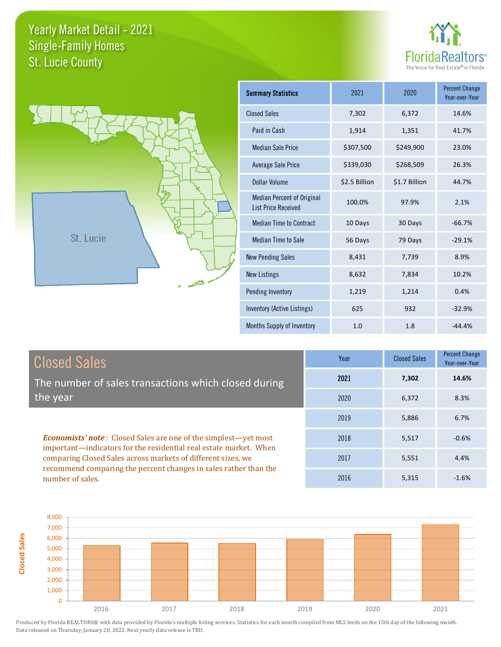



| <b>Summary Statistics</b>                                       | 2021          | 2020          | <b>Percent Change</b><br>Year-over-Year |
|-----------------------------------------------------------------|---------------|---------------|-----------------------------------------|
| <b>Closed Sales</b>                                             | 7,302         | 6,372         | 14.6%                                   |
| Paid in Cash                                                    | 1,914         | 1,351         | 41.7%                                   |
| <b>Median Sale Price</b>                                        | \$307,500     | \$249,900     | 23.0%                                   |
| <b>Average Sale Price</b>                                       | \$339,030     | \$268,509     | 26.3%                                   |
| Dollar Volume                                                   | \$2.5 Billion | \$1.7 Billion | 44.7%                                   |
| <b>Median Percent of Original</b><br><b>List Price Received</b> | 100.0%        | 97.9%         | 2.1%                                    |
| <b>Median Time to Contract</b>                                  | 10 Days       | 30 Days       | $-66.7%$                                |
| <b>Median Time to Sale</b>                                      | 56 Days       | 79 Days       | $-29.1%$                                |
| <b>New Pending Sales</b>                                        | 8,431         | 7,739         | 8.9%                                    |
| <b>New Listings</b>                                             | 8,632         | 7,834         | 10.2%                                   |
| Pending Inventory                                               | 1,219         | 1,214         | 0.4%                                    |
| Inventory (Active Listings)                                     | 625           | 932           | $-32.9%$                                |
| Months Supply of Inventory                                      | 1.0           | 1.8           | $-44.4%$                                |

| <b>Closed Sales</b>                                                                                                                                                                                         | Year | <b>Closed Sales</b> | <b>Percent Change</b><br>Year-over-Year |
|-------------------------------------------------------------------------------------------------------------------------------------------------------------------------------------------------------------|------|---------------------|-----------------------------------------|
| The number of sales transactions which closed during                                                                                                                                                        | 2021 | 7,302               | 14.6%                                   |
| the year                                                                                                                                                                                                    | 2020 | 6,372               | 8.3%                                    |
|                                                                                                                                                                                                             | 2019 | 5,886               | 6.7%                                    |
| <b>Economists' note:</b> Closed Sales are one of the simplest—yet most<br>important-indicators for the residential real estate market. When<br>comparing Closed Sales across markets of different sizes, we | 2018 | 5,517               | $-0.6%$                                 |
|                                                                                                                                                                                                             | 2017 | 5,551               | 4.4%                                    |
| recommend comparing the percent changes in sales rather than the<br>number of sales.                                                                                                                        | 2016 | 5,315               | $-1.6%$                                 |

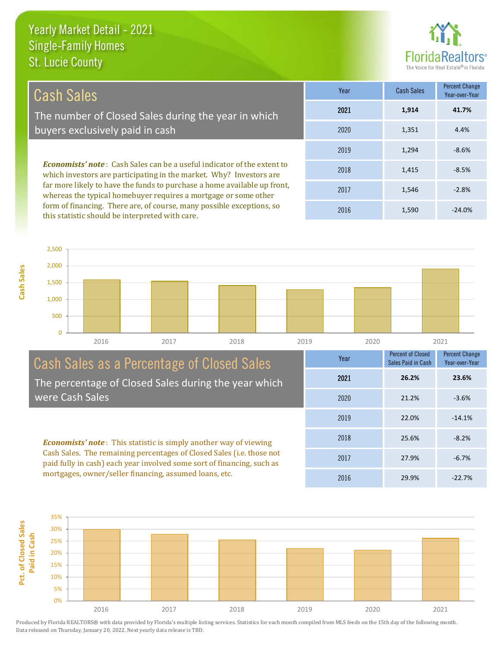this statistic should be interpreted with care.

**Cash Sales**



1,590 -24.0%

| Cash Sales                                                                                                                                            | Year | Cash Sales | Percent Change<br>Year-over-Year |
|-------------------------------------------------------------------------------------------------------------------------------------------------------|------|------------|----------------------------------|
| The number of Closed Sales during the year in which                                                                                                   | 2021 | 1,914      | 41.7%                            |
| buyers exclusively paid in cash                                                                                                                       | 2020 | 1,351      | 4.4%                             |
|                                                                                                                                                       | 2019 | 1,294      | $-8.6%$                          |
| <b>Economists' note:</b> Cash Sales can be a useful indicator of the extent to<br>which investors are participating in the market. Why? Investors are | 2018 | 1,415      | $-8.5%$                          |
| far more likely to have the funds to purchase a home available up front,<br>whereas the typical homebuyer requires a mortgage or some other           | 2017 | 1,546      | $-2.8%$                          |
| form of financing. There are, of course, many possible exceptions, so                                                                                 | 001C | 1.500      | 2101                             |

0 500 1,000 1,500 2,000 2,500 2016 2017 2018 2019 2020 2021

## Cash Sales as a Percentage of Closed Sales The percentage of Closed Sales during the year which were Cash Sales

*Economists' note* : This statistic is simply another way of viewing Cash Sales. The remaining percentages of Closed Sales (i.e. those not paid fully in cash) each year involved some sort of financing, such as mortgages, owner/seller financing, assumed loans, etc.



2016

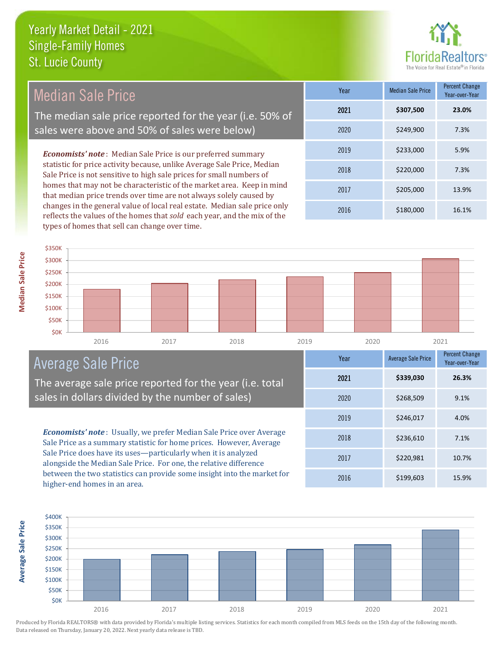

| Median Sale Price                                                                                                                                                                                                                                                                              | Year | <b>Median Sale Price</b> | Percent Change<br>Year-over-Year |
|------------------------------------------------------------------------------------------------------------------------------------------------------------------------------------------------------------------------------------------------------------------------------------------------|------|--------------------------|----------------------------------|
| The median sale price reported for the year (i.e. 50% of                                                                                                                                                                                                                                       | 2021 | \$307,500                | 23.0%                            |
| sales were above and 50% of sales were below)                                                                                                                                                                                                                                                  | 2020 | \$249,900                | 7.3%                             |
| <b>Economists' note:</b> Median Sale Price is our preferred summary                                                                                                                                                                                                                            | 2019 | \$233,000                | 5.9%                             |
| statistic for price activity because, unlike Average Sale Price, Median<br>Sale Price is not sensitive to high sale prices for small numbers of<br>homes that may not be characteristic of the market area. Keep in mind<br>that median price trends over time are not always solely caused by | 2018 | \$220,000                | 7.3%                             |
|                                                                                                                                                                                                                                                                                                | 2017 | \$205,000                | 13.9%                            |
| changes in the general value of local real estate. Median sale price only                                                                                                                                                                                                                      | 2016 | \$180,000                | 16.1%                            |

2016 2017 2018 2019 2020 2021 \$0K **\$50K** \$100K \$150K \$200K \$250K \$300K \$350K

# Average Sale Price

The average sale price reported for the year (i.e. total sales in dollars divided by the number of sales)

reflects the values of the homes that *sold* each year, and the mix of the

types of homes that sell can change over time.

*Economists' note* : Usually, we prefer Median Sale Price over Average Sale Price as a summary statistic for home prices. However, Average Sale Price does have its uses—particularly when it is analyzed alongside the Median Sale Price. For one, the relative difference between the two statistics can provide some insight into the market for higher-end homes in an area.





**Median Sale Price** 

**Average Sale Price Average Sale Price**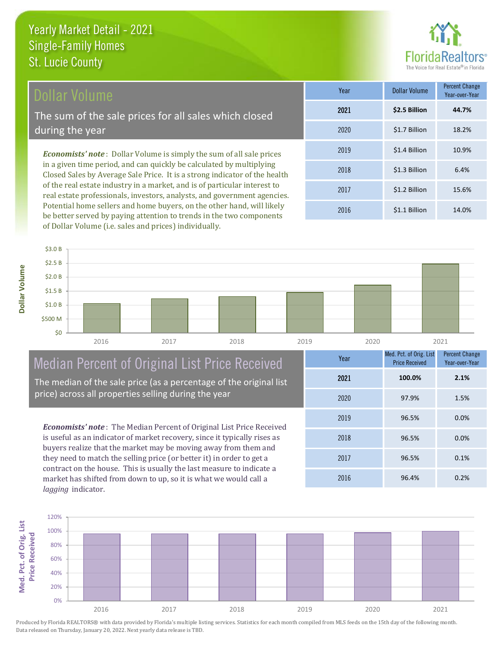# Dollar Volume

The sum of the sale prices for all sales which closed during the year

*Economists' note* : Dollar Volume is simply the sum of all sale prices in a given time period, and can quickly be calculated by multiplying Closed Sales by Average Sale Price. It is a strong indicator of the health of the real estate industry in a market, and is of particular interest to real estate professionals, investors, analysts, and government agencies. Potential home sellers and home buyers, on the other hand, will likely be better served by paying attention to trends in the two components of Dollar Volume (i.e. sales and prices) individually.

| Year | Dollar Volume | <b>Percent Change</b><br>Year-over-Year |
|------|---------------|-----------------------------------------|
| 2021 | \$2.5 Billion | 44.7%                                   |
| 2020 | \$1.7 Billion | 18.2%                                   |
| 2019 | \$1.4 Billion | 10.9%                                   |
| 2018 | \$1.3 Billion | 6.4%                                    |
| 2017 | \$1.2 Billion | 15.6%                                   |
| 2016 | \$1.1 Billion | 14.0%                                   |



# Median Percent of Original List Price Received

The median of the sale price (as a percentage of the original list price) across all properties selling during the year

*Economists' note* : The Median Percent of Original List Price Received is useful as an indicator of market recovery, since it typically rises as buyers realize that the market may be moving away from them and they need to match the selling price (or better it) in order to get a contract on the house. This is usually the last measure to indicate a market has shifted from down to up, so it is what we would call a *lagging* indicator.

| Year | Med. Pct. of Orig. List<br><b>Price Received</b> | <b>Percent Change</b><br>Year-over-Year |
|------|--------------------------------------------------|-----------------------------------------|
| 2021 | 100.0%                                           | 2.1%                                    |
| 2020 | 97.9%                                            | 1.5%                                    |
| 2019 | 96.5%                                            | 0.0%                                    |
| 2018 | 96.5%                                            | 0.0%                                    |
| 2017 | 96.5%                                            | 0.1%                                    |
| 2016 | 96.4%                                            | 0.2%                                    |

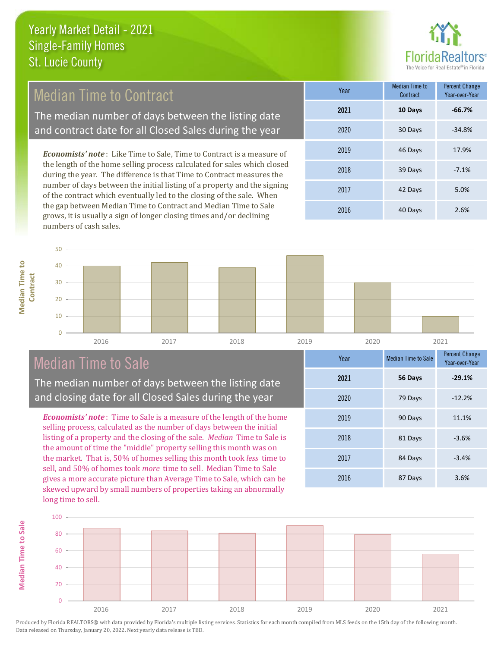

# Median Time to Contract

The median number of days between the listing date and contract date for all Closed Sales during the year

*Economists' note* : Like Time to Sale, Time to Contract is a measure of the length of the home selling process calculated for sales which closed during the year. The difference is that Time to Contract measures the number of days between the initial listing of a property and the signing of the contract which eventually led to the closing of the sale. When the gap between Median Time to Contract and Median Time to Sale grows, it is usually a sign of longer closing times and/or declining numbers of cash sales.

| Year | <b>Median Time to</b><br>Contract | <b>Percent Change</b><br>Year-over-Year |
|------|-----------------------------------|-----------------------------------------|
| 2021 | 10 Days                           | $-66.7%$                                |
| 2020 | 30 Days                           | $-34.8%$                                |
| 2019 | 46 Days                           | 17.9%                                   |
| 2018 | 39 Days                           | $-7.1%$                                 |
| 2017 | 42 Days                           | 5.0%                                    |
| 2016 | 40 Days                           | 2.6%                                    |



# Median Time to Sale

**Median Time to Sale**

**Median Time to Sale** 

**Median Time to** 

**Median Time to** 

The median number of days between the listing date and closing date for all Closed Sales during the year

*Economists' note* : Time to Sale is a measure of the length of the home selling process, calculated as the number of days between the initial listing of a property and the closing of the sale. *Median* Time to Sale is the amount of time the "middle" property selling this month was on the market. That is, 50% of homes selling this month took *less* time to sell, and 50% of homes took *more* time to sell. Median Time to Sale gives a more accurate picture than Average Time to Sale, which can be skewed upward by small numbers of properties taking an abnormally long time to sell.

| Year | <b>Median Time to Sale</b> | <b>Percent Change</b><br>Year-over-Year |
|------|----------------------------|-----------------------------------------|
| 2021 | 56 Days                    | $-29.1%$                                |
| 2020 | 79 Days                    | $-12.2%$                                |
| 2019 | 90 Days                    | 11.1%                                   |
| 2018 | 81 Days                    | $-3.6%$                                 |
| 2017 | 84 Days                    | $-3.4%$                                 |
| 2016 | 87 Days                    | 3.6%                                    |

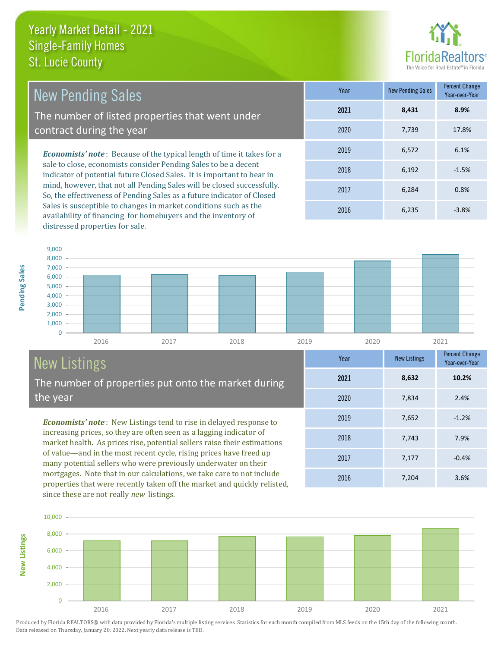

| <b>New Pending Sales</b>                                                                                                                  | Year | <b>New Pending Sales</b> | Percent Change<br>Year-over-Year |
|-------------------------------------------------------------------------------------------------------------------------------------------|------|--------------------------|----------------------------------|
| The number of listed properties that went under                                                                                           | 2021 | 8.431                    | 8.9%                             |
| contract during the year                                                                                                                  | 2020 | 7.739                    | 17.8%                            |
| <b>Economists' note:</b> Because of the typical length of time it takes for a                                                             | 2019 | 6.572                    | 6.1%                             |
| sale to close, economists consider Pending Sales to be a decent<br>indicator of potential future Closed Sales. It is important to bear in | 2018 | 6,192                    | $-1.5%$                          |
| mind however that not all Dending Caloguill he aloged quegesatully                                                                        |      |                          |                                  |

mind, however, that not all Pending Sales will be closed successfully. So, the effectiveness of Pending Sales as a future indicator of Closed Sales is susceptible to changes in market conditions such as the availability of financing for homebuyers and the inventory of distressed properties for sale.

2017 6,284 0.8% 2016 6,235 -3.8%



# New Listings

The number of properties put onto the market during the year

*Economists' note* : New Listings tend to rise in delayed response to increasing prices, so they are often seen as a lagging indicator of market health. As prices rise, potential sellers raise their estimations of value—and in the most recent cycle, rising prices have freed up many potential sellers who were previously underwater on their mortgages. Note that in our calculations, we take care to not include properties that were recently taken off the market and quickly relisted, since these are not really *new* listings.

| Year | <b>New Listings</b> | <b>Percent Change</b><br>Year-over-Year |
|------|---------------------|-----------------------------------------|
| 2021 | 8,632               | 10.2%                                   |
| 2020 | 7,834               | 2.4%                                    |
| 2019 | 7,652               | $-1.2%$                                 |
| 2018 | 7,743               | 7.9%                                    |
| 2017 | 7,177               | $-0.4%$                                 |
| 2016 | 7,204               | 3.6%                                    |



Produced by Florida REALTORS® with data provided by Florida's multiple listing services. Statistics for each month compiled from MLS feeds on the 15th day of the following month. Data released on Thursday, January 20, 2022. Next yearly data release is TBD.

**New Listings**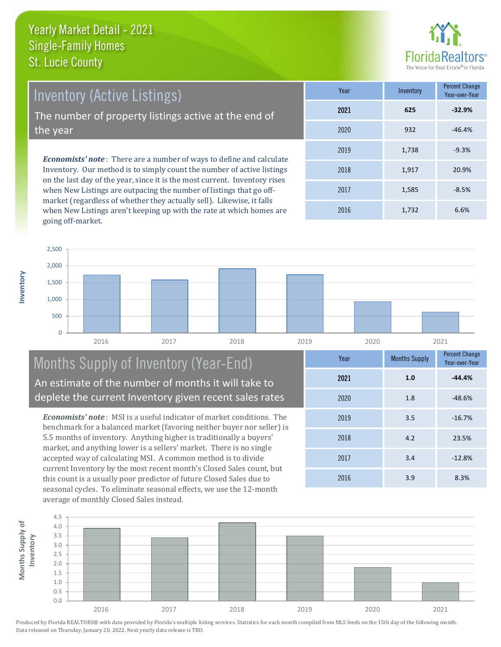

Percent Change

*Economists' note* : There are a number of ways to define and calculate Inventory. Our method is to simply count the number of active listings on the last day of the year, since it is the most current. Inventory rises 2019 1,738 Inventory (Active Listings) The number of property listings active at the end of the year

when New Listings are outpacing the number of listings that go offmarket (regardless of whether they actually sell). Likewise, it falls when New Listings aren't keeping up with the rate at which homes are going off-market.

| i var | <b>ILLACITLOI</b> | Year-over-Year |
|-------|-------------------|----------------|
| 2021  | 625               | $-32.9%$       |
| 2020  | 932               | $-46.4%$       |
| 2019  | 1,738             | $-9.3%$        |
| 2018  | 1,917             | 20.9%          |
| 2017  | 1,585             | $-8.5%$        |
| 2016  | 1,732             | 6.6%           |



# Months Supply of Inventory (Year-End) An estimate of the number of months it will take to deplete the current Inventory given recent sales rates

*Economists' note* : MSI is a useful indicator of market conditions. The benchmark for a balanced market (favoring neither buyer nor seller) is 5.5 months of inventory. Anything higher is traditionally a buyers' market, and anything lower is a sellers' market. There is no single accepted way of calculating MSI. A common method is to divide current Inventory by the most recent month's Closed Sales count, but this count is a usually poor predictor of future Closed Sales due to seasonal cycles. To eliminate seasonal effects, we use the 12-month average of monthly Closed Sales instead.



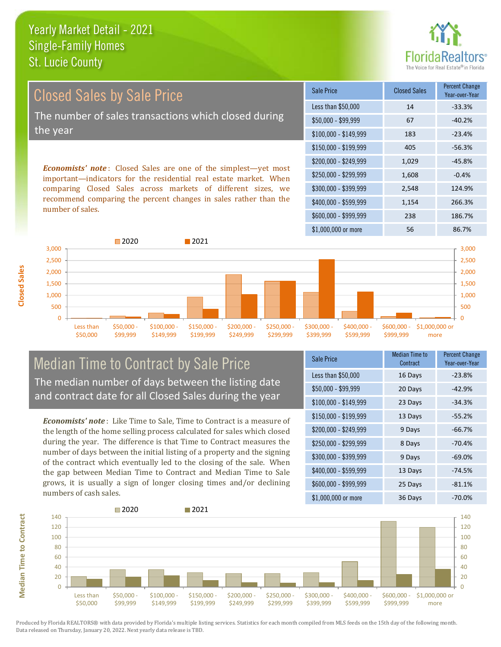

Closed Sales by Sale Price The number of sales transactions which closed during the year

*Economists' note* : Closed Sales are one of the simplest—yet most important—indicators for the residential real estate market. When comparing Closed Sales across markets of different sizes, we recommend comparing the percent changes in sales rather than the number of sales.

| Sale Price            | <b>Closed Sales</b> | <b>Percent Change</b><br>Year-over-Year |
|-----------------------|---------------------|-----------------------------------------|
| Less than \$50,000    | 14                  | $-33.3%$                                |
| $$50,000 - $99,999$   | 67                  | $-40.2%$                                |
| $$100,000 - $149,999$ | 183                 | $-23.4%$                                |
| $$150,000 - $199,999$ | 405                 | $-56.3%$                                |
| \$200,000 - \$249,999 | 1,029               | $-45.8%$                                |
| \$250,000 - \$299,999 | 1,608               | $-0.4%$                                 |
| \$300,000 - \$399,999 | 2,548               | 124.9%                                  |
| \$400,000 - \$599,999 | 1,154               | 266.3%                                  |
| \$600,000 - \$999,999 | 238                 | 186.7%                                  |
| \$1,000,000 or more   | 56                  | 86.7%                                   |



## Median Time to Contract by Sale Price The median number of days between the listing date and contract date for all Closed Sales during the year

*Economists' note* : Like Time to Sale, Time to Contract is a measure of the length of the home selling process calculated for sales which closed during the year. The difference is that Time to Contract measures the number of days between the initial listing of a property and the signing of the contract which eventually led to the closing of the sale. When the gap between Median Time to Contract and Median Time to Sale grows, it is usually a sign of longer closing times and/or declining numbers of cash sales.

| Sale Price            | Median Time to<br>Contract | <b>Percent Change</b><br>Year-over-Year |
|-----------------------|----------------------------|-----------------------------------------|
| Less than \$50,000    | 16 Days                    | $-23.8%$                                |
| $$50,000 - $99,999$   | 20 Days                    | $-42.9%$                                |
| $$100,000 - $149,999$ | 23 Days                    | $-34.3%$                                |
| $$150,000 - $199,999$ | 13 Days                    | $-55.2%$                                |
| \$200,000 - \$249,999 | 9 Days                     | $-66.7%$                                |
| \$250,000 - \$299,999 | 8 Days                     | $-70.4%$                                |
| \$300,000 - \$399,999 | 9 Days                     | $-69.0%$                                |
| \$400,000 - \$599,999 | 13 Days                    | $-74.5%$                                |
| \$600,000 - \$999,999 | 25 Days                    | $-81.1%$                                |
| \$1,000,000 or more   | 36 Days                    | $-70.0\%$                               |

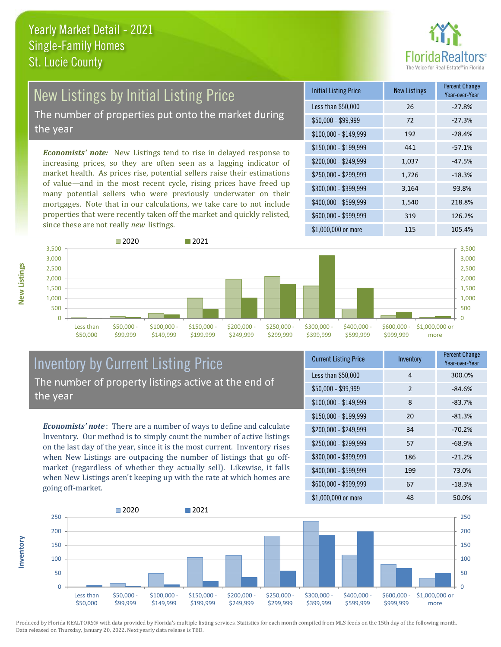

# New Listings by Initial Listing Price

The number of properties put onto the market during the year

*Economists' note:* New Listings tend to rise in delayed response to increasing prices, so they are often seen as a lagging indicator of market health. As prices rise, potential sellers raise their estimations of value—and in the most recent cycle, rising prices have freed up many potential sellers who were previously underwater on their mortgages. Note that in our calculations, we take care to not include properties that were recently taken off the market and quickly relisted, since these are not really *new* listings.

| <b>Initial Listing Price</b> | <b>New Listings</b> | <b>Percent Change</b><br>Year-over-Year |
|------------------------------|---------------------|-----------------------------------------|
| Less than \$50,000           | 26                  | $-27.8%$                                |
| \$50,000 - \$99,999          | 72                  | $-27.3%$                                |
| $$100,000 - $149,999$        | 192                 | $-28.4%$                                |
| $$150,000 - $199,999$        | 441                 | $-57.1%$                                |
| \$200,000 - \$249,999        | 1,037               | $-47.5%$                                |
| \$250,000 - \$299,999        | 1,726               | $-18.3%$                                |
| \$300,000 - \$399,999        | 3,164               | 93.8%                                   |
| \$400,000 - \$599,999        | 1,540               | 218.8%                                  |
| \$600,000 - \$999,999        | 319                 | 126.2%                                  |
| \$1,000,000 or more          | 115                 | 105.4%                                  |



# Inventory by Current Listing Price The number of property listings active at the end of the year

*Economists' note* : There are a number of ways to define and calculate Inventory. Our method is to simply count the number of active listings on the last day of the year, since it is the most current. Inventory rises when New Listings are outpacing the number of listings that go offmarket (regardless of whether they actually sell). Likewise, it falls when New Listings aren't keeping up with the rate at which homes are going off-market.

| <b>Current Listing Price</b> | Inventory       | Percent Change<br>Year-over-Year |
|------------------------------|-----------------|----------------------------------|
| Less than \$50,000           | 4               | 300.0%                           |
| $$50,000 - $99,999$          | $\overline{2}$  | $-84.6%$                         |
| $$100,000 - $149,999$        | 8               | $-83.7%$                         |
| $$150,000 - $199,999$        | 20              | $-81.3%$                         |
| \$200,000 - \$249,999        | 34              | $-70.2%$                         |
| \$250,000 - \$299,999        | 57              | $-68.9%$                         |
| \$300,000 - \$399,999        | 186             | $-21.2%$                         |
| \$400,000 - \$599,999        | 199             | 73.0%                            |
| \$600,000 - \$999,999        | 67              | $-18.3%$                         |
| $$1$ 000 000 or more         | $\overline{AB}$ | 50.0%                            |



Produced by Florida REALTORS® with data provided by Florida's multiple listing services. Statistics for each month compiled from MLS feeds on the 15th day of the following month. Data released on Thursday, January 20, 2022. Next yearly data release is TBD.

**Inventory**